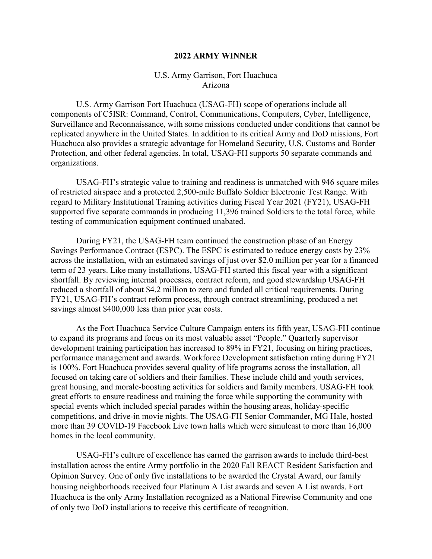#### **2022 ARMY WINNER**

# U.S. Army Garrison, Fort Huachuca Arizona

U.S. Army Garrison Fort Huachuca (USAG-FH) scope of operations include all components of C5ISR: Command, Control, Communications, Computers, Cyber, Intelligence, Surveillance and Reconnaissance, with some missions conducted under conditions that cannot be replicated anywhere in the United States. In addition to its critical Army and DoD missions, Fort Huachuca also provides a strategic advantage for Homeland Security, U.S. Customs and Border Protection, and other federal agencies. In total, USAG-FH supports 50 separate commands and organizations.

USAG-FH's strategic value to training and readiness is unmatched with 946 square miles of restricted airspace and a protected 2,500-mile Buffalo Soldier Electronic Test Range. With regard to Military Institutional Training activities during Fiscal Year 2021 (FY21), USAG-FH supported five separate commands in producing 11,396 trained Soldiers to the total force, while testing of communication equipment continued unabated.

During FY21, the USAG-FH team continued the construction phase of an Energy Savings Performance Contract (ESPC). The ESPC is estimated to reduce energy costs by 23% across the installation, with an estimated savings of just over \$2.0 million per year for a financed term of 23 years. Like many installations, USAG-FH started this fiscal year with a significant shortfall. By reviewing internal processes, contract reform, and good stewardship USAG-FH reduced a shortfall of about \$4.2 million to zero and funded all critical requirements. During FY21, USAG-FH's contract reform process, through contract streamlining, produced a net savings almost \$400,000 less than prior year costs.

As the Fort Huachuca Service Culture Campaign enters its fifth year, USAG-FH continue to expand its programs and focus on its most valuable asset "People." Quarterly supervisor development training participation has increased to 89% in FY21, focusing on hiring practices, performance management and awards. Workforce Development satisfaction rating during FY21 is 100%. Fort Huachuca provides several quality of life programs across the installation, all focused on taking care of soldiers and their families. These include child and youth services, great housing, and morale-boosting activities for soldiers and family members. USAG-FH took great efforts to ensure readiness and training the force while supporting the community with special events which included special parades within the housing areas, holiday-specific competitions, and drive-in movie nights. The USAG-FH Senior Commander, MG Hale, hosted more than 39 COVID-19 Facebook Live town halls which were simulcast to more than 16,000 homes in the local community.

 USAG-FH's culture of excellence has earned the garrison awards to include third-best installation across the entire Army portfolio in the 2020 Fall REACT Resident Satisfaction and Opinion Survey. One of only five installations to be awarded the Crystal Award, our family housing neighborhoods received four Platinum A List awards and seven A List awards. Fort Huachuca is the only Army Installation recognized as a National Firewise Community and one of only two DoD installations to receive this certificate of recognition.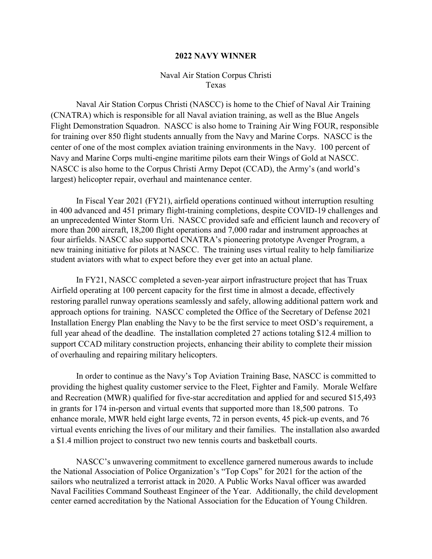## **2022 NAVY WINNER**

# Naval Air Station Corpus Christi Texas

Naval Air Station Corpus Christi (NASCC) is home to the Chief of Naval Air Training (CNATRA) which is responsible for all Naval aviation training, as well as the Blue Angels Flight Demonstration Squadron. NASCC is also home to Training Air Wing FOUR, responsible for training over 850 flight students annually from the Navy and Marine Corps. NASCC is the center of one of the most complex aviation training environments in the Navy. 100 percent of Navy and Marine Corps multi-engine maritime pilots earn their Wings of Gold at NASCC. NASCC is also home to the Corpus Christi Army Depot (CCAD), the Army's (and world's largest) helicopter repair, overhaul and maintenance center.

In Fiscal Year 2021 (FY21), airfield operations continued without interruption resulting in 400 advanced and 451 primary flight-training completions, despite COVID-19 challenges and an unprecedented Winter Storm Uri. NASCC provided safe and efficient launch and recovery of more than 200 aircraft, 18,200 flight operations and 7,000 radar and instrument approaches at four airfields. NASCC also supported CNATRA's pioneering prototype Avenger Program, a new training initiative for pilots at NASCC. The training uses virtual reality to help familiarize student aviators with what to expect before they ever get into an actual plane.

In FY21, NASCC completed a seven-year airport infrastructure project that has Truax Airfield operating at 100 percent capacity for the first time in almost a decade, effectively restoring parallel runway operations seamlessly and safely, allowing additional pattern work and approach options for training. NASCC completed the Office of the Secretary of Defense 2021 Installation Energy Plan enabling the Navy to be the first service to meet OSD's requirement, a full year ahead of the deadline. The installation completed 27 actions totaling \$12.4 million to support CCAD military construction projects, enhancing their ability to complete their mission of overhauling and repairing military helicopters.

In order to continue as the Navy's Top Aviation Training Base, NASCC is committed to providing the highest quality customer service to the Fleet, Fighter and Family. Morale Welfare and Recreation (MWR) qualified for five-star accreditation and applied for and secured \$15,493 in grants for 174 in-person and virtual events that supported more than 18,500 patrons. To enhance morale, MWR held eight large events, 72 in person events, 45 pick-up events, and 76 virtual events enriching the lives of our military and their families. The installation also awarded a \$1.4 million project to construct two new tennis courts and basketball courts.

NASCC's unwavering commitment to excellence garnered numerous awards to include the National Association of Police Organization's "Top Cops" for 2021 for the action of the sailors who neutralized a terrorist attack in 2020. A Public Works Naval officer was awarded Naval Facilities Command Southeast Engineer of the Year. Additionally, the child development center earned accreditation by the National Association for the Education of Young Children.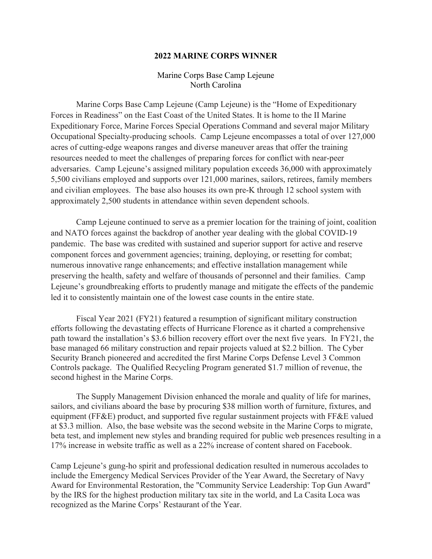#### **2022 MARINE CORPS WINNER**

# Marine Corps Base Camp Lejeune North Carolina

Marine Corps Base Camp Lejeune (Camp Lejeune) is the "Home of Expeditionary Forces in Readiness" on the East Coast of the United States. It is home to the II Marine Expeditionary Force, Marine Forces Special Operations Command and several major Military Occupational Specialty-producing schools. Camp Lejeune encompasses a total of over 127,000 acres of cutting-edge weapons ranges and diverse maneuver areas that offer the training resources needed to meet the challenges of preparing forces for conflict with near-peer adversaries. Camp Lejeune's assigned military population exceeds 36,000 with approximately 5,500 civilians employed and supports over 121,000 marines, sailors, retirees, family members and civilian employees. The base also houses its own pre-K through 12 school system with approximately 2,500 students in attendance within seven dependent schools.

Camp Lejeune continued to serve as a premier location for the training of joint, coalition and NATO forces against the backdrop of another year dealing with the global COVID-19 pandemic. The base was credited with sustained and superior support for active and reserve component forces and government agencies; training, deploying, or resetting for combat; numerous innovative range enhancements; and effective installation management while preserving the health, safety and welfare of thousands of personnel and their families. Camp Lejeune's groundbreaking efforts to prudently manage and mitigate the effects of the pandemic led it to consistently maintain one of the lowest case counts in the entire state.

Fiscal Year 2021 (FY21) featured a resumption of significant military construction efforts following the devastating effects of Hurricane Florence as it charted a comprehensive path toward the installation's \$3.6 billion recovery effort over the next five years. In FY21, the base managed 66 military construction and repair projects valued at \$2.2 billion. The Cyber Security Branch pioneered and accredited the first Marine Corps Defense Level 3 Common Controls package. The Qualified Recycling Program generated \$1.7 million of revenue, the second highest in the Marine Corps.

The Supply Management Division enhanced the morale and quality of life for marines, sailors, and civilians aboard the base by procuring \$38 million worth of furniture, fixtures, and equipment (FF&E) product, and supported five regular sustainment projects with FF&E valued at \$3.3 million. Also, the base website was the second website in the Marine Corps to migrate, beta test, and implement new styles and branding required for public web presences resulting in a 17% increase in website traffic as well as a 22% increase of content shared on Facebook.

Camp Lejeune's gung-ho spirit and professional dedication resulted in numerous accolades to include the Emergency Medical Services Provider of the Year Award, the Secretary of Navy Award for Environmental Restoration, the "Community Service Leadership: Top Gun Award" by the IRS for the highest production military tax site in the world, and La Casita Loca was recognized as the Marine Corps' Restaurant of the Year.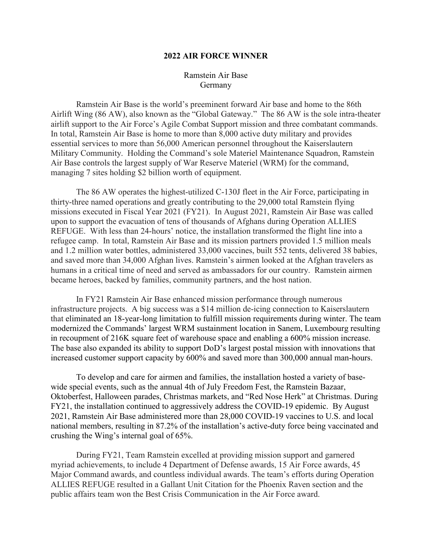### **2022 AIR FORCE WINNER**

# Ramstein Air Base Germany

Ramstein Air Base is the world's preeminent forward Air base and home to the 86th Airlift Wing (86 AW), also known as the "Global Gateway." The 86 AW is the sole intra-theater airlift support to the Air Force's Agile Combat Support mission and three combatant commands. In total, Ramstein Air Base is home to more than 8,000 active duty military and provides essential services to more than 56,000 American personnel throughout the Kaiserslautern Military Community. Holding the Command's sole Materiel Maintenance Squadron, Ramstein Air Base controls the largest supply of War Reserve Materiel (WRM) for the command, managing 7 sites holding \$2 billion worth of equipment.

The 86 AW operates the highest-utilized C-130J fleet in the Air Force, participating in thirty-three named operations and greatly contributing to the 29,000 total Ramstein flying missions executed in Fiscal Year 2021 (FY21). In August 2021, Ramstein Air Base was called upon to support the evacuation of tens of thousands of Afghans during Operation ALLIES REFUGE. With less than 24-hours' notice, the installation transformed the flight line into a refugee camp. In total, Ramstein Air Base and its mission partners provided 1.5 million meals and 1.2 million water bottles, administered 33,000 vaccines, built 552 tents, delivered 38 babies, and saved more than 34,000 Afghan lives. Ramstein's airmen looked at the Afghan travelers as humans in a critical time of need and served as ambassadors for our country. Ramstein airmen became heroes, backed by families, community partners, and the host nation.

In FY21 Ramstein Air Base enhanced mission performance through numerous infrastructure projects. A big success was a \$14 million de-icing connection to Kaiserslautern that eliminated an 18-year-long limitation to fulfill mission requirements during winter. The team modernized the Commands' largest WRM sustainment location in Sanem, Luxembourg resulting in recoupment of 216K square feet of warehouse space and enabling a 600% mission increase. The base also expanded its ability to support DoD's largest postal mission with innovations that increased customer support capacity by 600% and saved more than 300,000 annual man-hours.

To develop and care for airmen and families, the installation hosted a variety of basewide special events, such as the annual 4th of July Freedom Fest, the Ramstein Bazaar, Oktoberfest, Halloween parades, Christmas markets, and "Red Nose Herk" at Christmas. During FY21, the installation continued to aggressively address the COVID-19 epidemic. By August 2021, Ramstein Air Base administered more than 28,000 COVID-19 vaccines to U.S. and local national members, resulting in 87.2% of the installation's active-duty force being vaccinated and crushing the Wing's internal goal of 65%.

During FY21, Team Ramstein excelled at providing mission support and garnered myriad achievements, to include 4 Department of Defense awards, 15 Air Force awards, 45 Major Command awards, and countless individual awards. The team's efforts during Operation ALLIES REFUGE resulted in a Gallant Unit Citation for the Phoenix Raven section and the public affairs team won the Best Crisis Communication in the Air Force award.